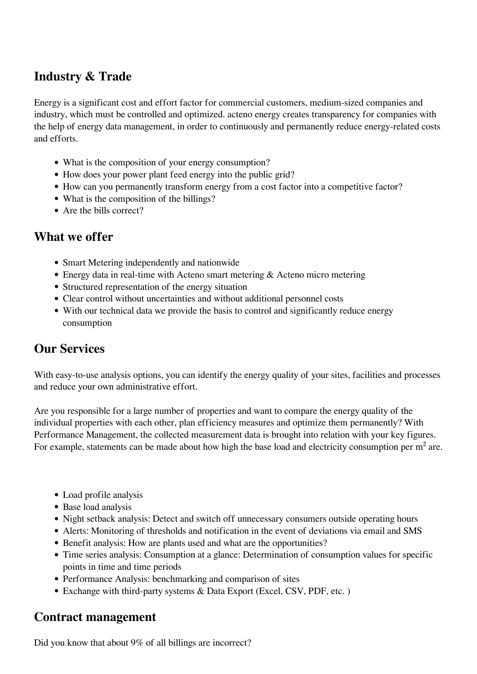## **Industry & Trade**

Energy is a significant cost and effort factor for commercial customers, medium-sized companies and industry, which must be controlled and optimized. acteno energy creates transparency for companies with the help of energy data management, in order to continuously and permanently reduce energy-related costs and efforts.

- What is the composition of your energy consumption?
- How does your power plant feed energy into the public grid?
- How can you permanently transform energy from a cost factor into a competitive factor?
- What is the composition of the billings?
- Are the bills correct?

## **What we offer**

- Smart Metering independently and nationwide
- Energy data in real-time with Acteno smart metering & Acteno micro metering
- Structured representation of the energy situation
- Clear control without uncertainties and without additional personnel costs
- With our technical data we provide the basis to control and significantly reduce energy consumption

## **Our Services**

With easy-to-use analysis options, you can identify the energy quality of your sites, facilities and processes and reduce your own administrative effort.

Are you responsible for a large number of properties and want to compare the energy quality of the individual properties with each other, plan efficiency measures and optimize them permanently? With Performance Management, the collected measurement data is brought into relation with your key figures. For example, statements can be made about how high the base load and electricity consumption per  $m<sup>2</sup>$  are.

- Load profile analysis
- Base load analysis
- Night setback analysis: Detect and switch off unnecessary consumers outside operating hours
- Alerts: Monitoring of thresholds and notification in the event of deviations via email and SMS
- Benefit analysis: How are plants used and what are the opportunities?
- Time series analysis: Consumption at a glance: Determination of consumption values for specific points in time and time periods
- Performance Analysis: benchmarking and comparison of sites
- Exchange with third-party systems & Data Export (Excel, CSV, PDF, etc.)

## **Contract management**

Did you know that about 9% of all billings are incorrect?